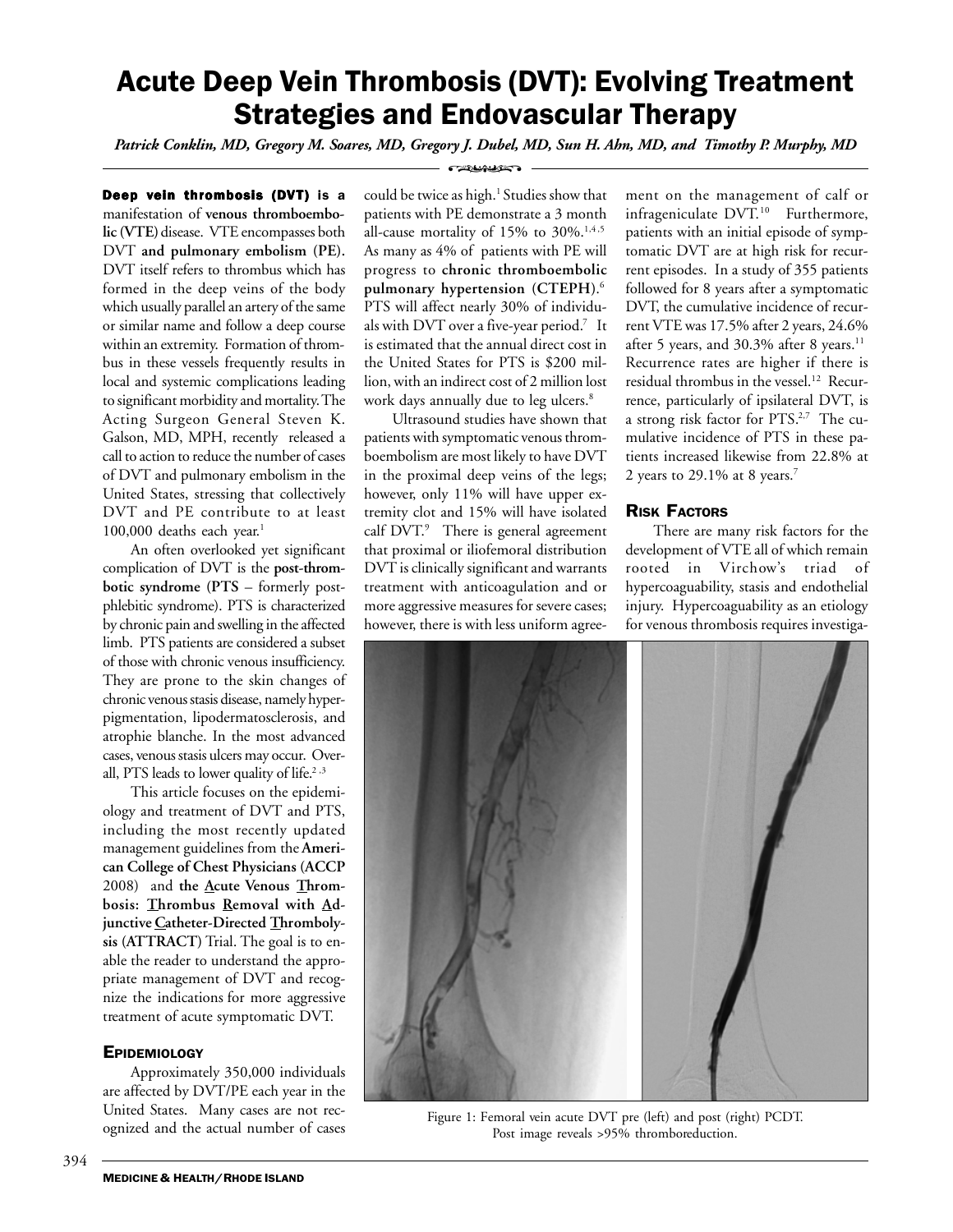# Acute Deep Vein Thrombosis (DVT): Evolving Treatment Strategies and Endovascular Therapy

*Patrick Conklin, MD, Gregory M. Soares, MD, Gregory J. Dubel, MD, Sun H. Ahn, MD, and Timothy P. Murphy, MD*

**Deep vein thrombosis (DVT)** is a manifestation of **venous thromboembolic (VTE)** disease. VTE encompasses both DVT **and pulmonary embolism (PE).** DVT itself refers to thrombus which has formed in the deep veins of the body which usually parallel an artery of the same or similar name and follow a deep course within an extremity. Formation of thrombus in these vessels frequently results in local and systemic complications leading to significant morbidity and mortality. The Acting Surgeon General Steven K. Galson, MD, MPH, recently released a call to action to reduce the number of cases of DVT and pulmonary embolism in the United States, stressing that collectively DVT and PE contribute to at least 100,000 deaths each year. $1$ 

An often overlooked yet significant complication of DVT is the **post-thrombotic syndrome (PTS** – formerly postphlebitic syndrome). PTS is characterized by chronic pain and swelling in the affected limb. PTS patients are considered a subset of those with chronic venous insufficiency. They are prone to the skin changes of chronic venous stasis disease, namely hyperpigmentation, lipodermatosclerosis, and atrophie blanche. In the most advanced cases, venous stasis ulcers may occur. Overall, PTS leads to lower quality of life.<sup>2,3</sup>

This article focuses on the epidemiology and treatment of DVT and PTS, including the most recently updated management guidelines from the **American College of Chest Physicians (ACCP** 2008) and **the Acute Venous Thrombosis: Thrombus Removal with Adjunctive Catheter-Directed Thrombolysis (ATTRACT)** Trial. The goal is to enable the reader to understand the appropriate management of DVT and recognize the indications for more aggressive treatment of acute symptomatic DVT.

### **EPIDEMIOLOGY**

Approximately 350,000 individuals are affected by DVT/PE each year in the United States. Many cases are not recognized and the actual number of cases

**CERTAINSELS** 

could be twice as high.<sup>1</sup> Studies show that patients with PE demonstrate a 3 month all-cause mortality of 15% to  $30\%$ .<sup>1,4,5</sup> As many as 4% of patients with PE will progress to **chronic thromboembolic pulmonary hypertension (CTEPH)**. 6 PTS will affect nearly 30% of individuals with DVT over a five-year period.<sup>7</sup> It is estimated that the annual direct cost in the United States for PTS is \$200 million, with an indirect cost of 2 million lost work days annually due to leg ulcers.<sup>8</sup>

Ultrasound studies have shown that patients with symptomatic venous thromboembolism are most likely to have DVT in the proximal deep veins of the legs; however, only 11% will have upper extremity clot and 15% will have isolated calf DVT.<sup>9</sup> There is general agreement that proximal or iliofemoral distribution DVT is clinically significant and warrants treatment with anticoagulation and or more aggressive measures for severe cases; however, there is with less uniform agreement on the management of calf or infrageniculate DVT.<sup>10</sup> Furthermore, patients with an initial episode of symptomatic DVT are at high risk for recurrent episodes. In a study of 355 patients followed for 8 years after a symptomatic DVT, the cumulative incidence of recurrent VTE was 17.5% after 2 years, 24.6% after 5 years, and  $30.3\%$  after 8 years.<sup>11</sup> Recurrence rates are higher if there is residual thrombus in the vessel.<sup>12</sup> Recurrence, particularly of ipsilateral DVT, is a strong risk factor for PTS.<sup>2,7</sup> The cumulative incidence of PTS in these patients increased likewise from 22.8% at 2 years to 29.1% at 8 years.<sup>7</sup>

### RISK FACTORS

There are many risk factors for the development of VTE all of which remain rooted in Virchow's triad of hypercoaguability, stasis and endothelial injury. Hypercoaguability as an etiology for venous thrombosis requires investiga-



Figure 1: Femoral vein acute DVT pre (left) and post (right) PCDT. Post image reveals >95% thromboreduction.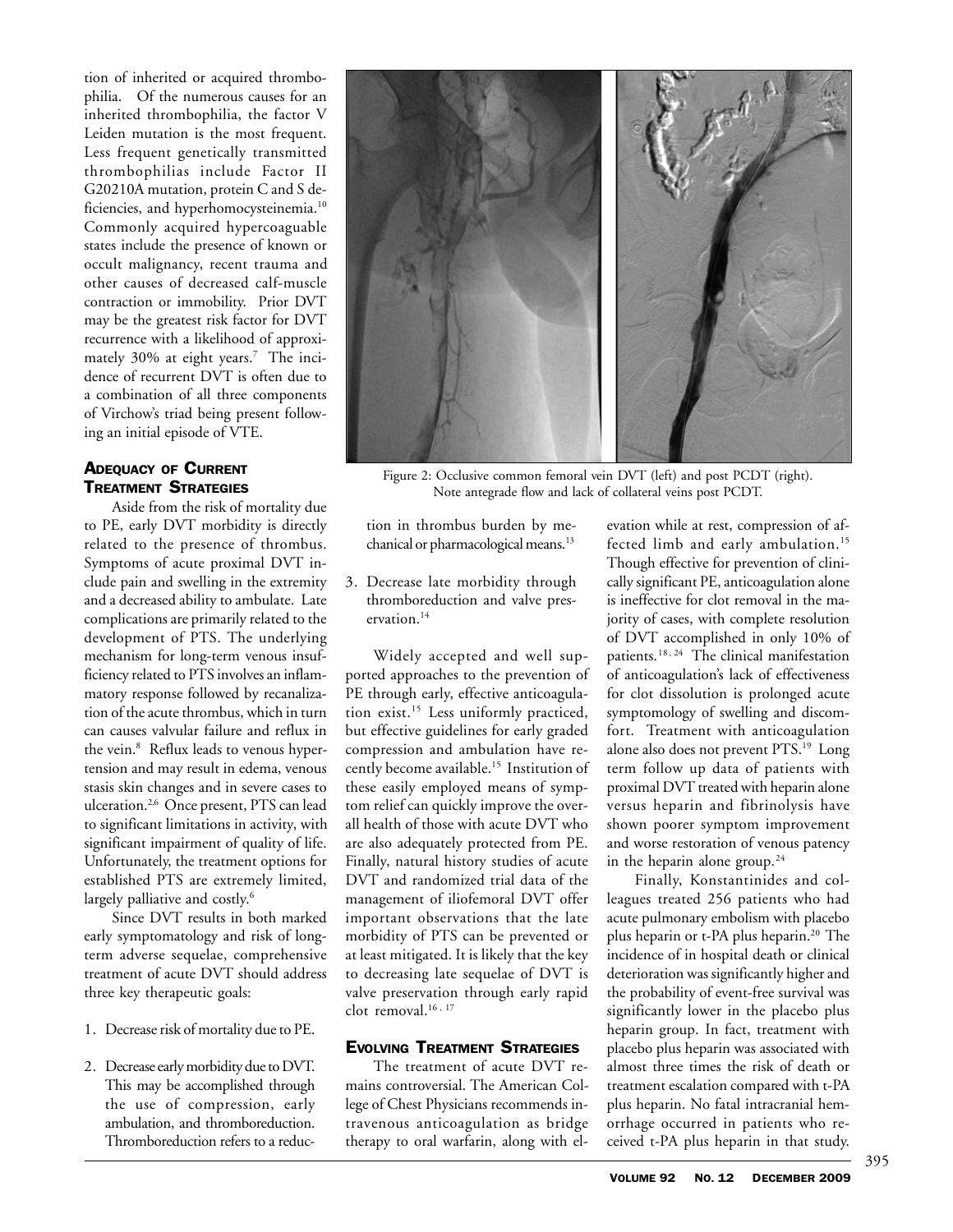tion of inherited or acquired thrombophilia. Of the numerous causes for an inherited thrombophilia, the factor V Leiden mutation is the most frequent. Less frequent genetically transmitted thrombophilias include Factor II G20210A mutation, protein C and S deficiencies, and hyperhomocysteinemia.10 Commonly acquired hypercoaguable states include the presence of known or occult malignancy, recent trauma and other causes of decreased calf-muscle contraction or immobility. Prior DVT may be the greatest risk factor for DVT recurrence with a likelihood of approximately 30% at eight years.7 The incidence of recurrent DVT is often due to a combination of all three components of Virchow's triad being present following an initial episode of VTE.

## ADEQUACY OF CURRENT TREATMENT STRATEGIES

Aside from the risk of mortality due to PE, early DVT morbidity is directly related to the presence of thrombus. Symptoms of acute proximal DVT include pain and swelling in the extremity and a decreased ability to ambulate. Late complications are primarily related to the development of PTS. The underlying mechanism for long-term venous insufficiency related to PTS involves an inflammatory response followed by recanalization of the acute thrombus, which in turn can causes valvular failure and reflux in the vein.<sup>8</sup> Reflux leads to venous hypertension and may result in edema, venous stasis skin changes and in severe cases to ulceration.2,6 Once present, PTS can lead to significant limitations in activity, with significant impairment of quality of life. Unfortunately, the treatment options for established PTS are extremely limited, largely palliative and costly.<sup>6</sup>

Since DVT results in both marked early symptomatology and risk of longterm adverse sequelae, comprehensive treatment of acute DVT should address three key therapeutic goals:

- 1. Decrease risk of mortality due to PE.
- 2. Decrease early morbidity due to DVT. This may be accomplished through the use of compression, early ambulation, and thromboreduction. Thromboreduction refers to a reduc-



Figure 2: Occlusive common femoral vein DVT (left) and post PCDT (right). Note antegrade flow and lack of collateral veins post PCDT.

tion in thrombus burden by mechanical or pharmacological means.<sup>13</sup>

3. Decrease late morbidity through thromboreduction and valve preservation.14

Widely accepted and well supported approaches to the prevention of PE through early, effective anticoagulation exist.15 Less uniformly practiced, but effective guidelines for early graded compression and ambulation have recently become available.15 Institution of these easily employed means of symptom relief can quickly improve the overall health of those with acute DVT who are also adequately protected from PE. Finally, natural history studies of acute DVT and randomized trial data of the management of iliofemoral DVT offer important observations that the late morbidity of PTS can be prevented or at least mitigated. It is likely that the key to decreasing late sequelae of DVT is valve preservation through early rapid clot removal.<sup>16, 17</sup>

### EVOLVING TREATMENT STRATEGIES

The treatment of acute DVT remains controversial. The American College of Chest Physicians recommends intravenous anticoagulation as bridge therapy to oral warfarin, along with elevation while at rest, compression of affected limb and early ambulation.<sup>15</sup> Though effective for prevention of clinically significant PE, anticoagulation alone is ineffective for clot removal in the majority of cases, with complete resolution of DVT accomplished in only 10% of patients.<sup>18, 24</sup> The clinical manifestation of anticoagulation's lack of effectiveness for clot dissolution is prolonged acute symptomology of swelling and discomfort. Treatment with anticoagulation alone also does not prevent PTS.19 Long term follow up data of patients with proximal DVT treated with heparin alone versus heparin and fibrinolysis have shown poorer symptom improvement and worse restoration of venous patency in the heparin alone group. $24$ 

Finally, Konstantinides and colleagues treated 256 patients who had acute pulmonary embolism with placebo plus heparin or t-PA plus heparin.<sup>20</sup> The incidence of in hospital death or clinical deterioration was significantly higher and the probability of event-free survival was significantly lower in the placebo plus heparin group. In fact, treatment with placebo plus heparin was associated with almost three times the risk of death or treatment escalation compared with t-PA plus heparin. No fatal intracranial hemorrhage occurred in patients who received t-PA plus heparin in that study.

395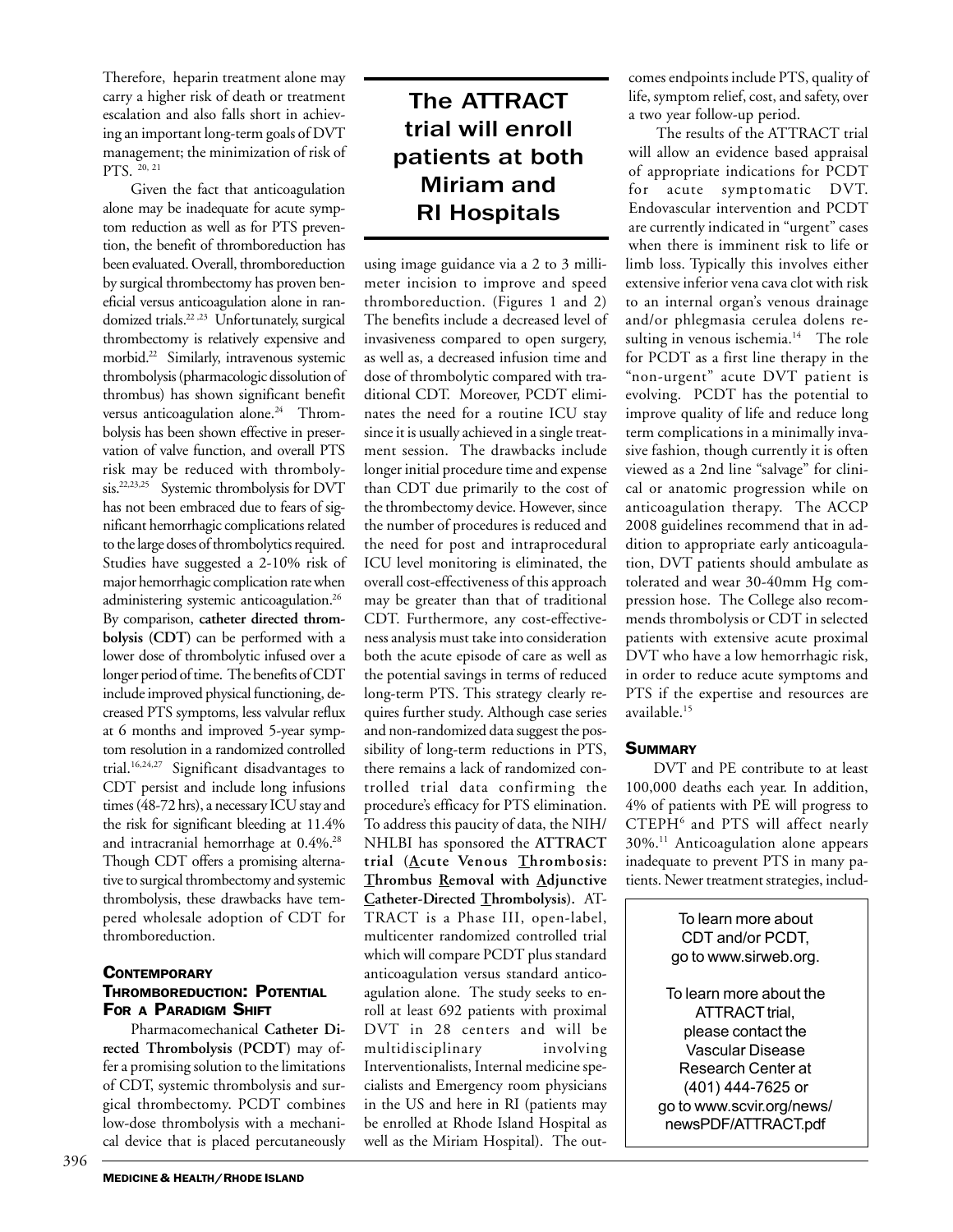Therefore, heparin treatment alone may carry a higher risk of death or treatment escalation and also falls short in achieving an important long-term goals of DVT management; the minimization of risk of PTS. 20, 21

Given the fact that anticoagulation alone may be inadequate for acute symptom reduction as well as for PTS prevention, the benefit of thromboreduction has been evaluated. Overall, thromboreduction by surgical thrombectomy has proven beneficial versus anticoagulation alone in randomized trials.<sup>22,23</sup> Unfortunately, surgical thrombectomy is relatively expensive and morbid.22 Similarly, intravenous systemic thrombolysis (pharmacologic dissolution of thrombus) has shown significant benefit versus anticoagulation alone.<sup>24</sup> Thrombolysis has been shown effective in preservation of valve function, and overall PTS risk may be reduced with thrombolysis.22,23,25 Systemic thrombolysis for DVT has not been embraced due to fears of significant hemorrhagic complications related to the large doses of thrombolytics required. Studies have suggested a 2-10% risk of major hemorrhagic complication rate when administering systemic anticoagulation.26 By comparison, **catheter directed thrombolysis (CDT)** can be performed with a lower dose of thrombolytic infused over a longer period of time. The benefits of CDT include improved physical functioning, decreased PTS symptoms, less valvular reflux at 6 months and improved 5-year symptom resolution in a randomized controlled trial.16,24,27 Significant disadvantages to CDT persist and include long infusions times (48-72 hrs), a necessary ICU stay and the risk for significant bleeding at 11.4% and intracranial hemorrhage at 0.4%.28 Though CDT offers a promising alternative to surgical thrombectomy and systemic thrombolysis, these drawbacks have tempered wholesale adoption of CDT for thromboreduction.

## **CONTEMPORARY** THROMBOREDUCTION: POTENTIAL FOR A PARADIGM SHIFT

Pharmacomechanical **Catheter Directed Thrombolysis (PCDT)** may offer a promising solution to the limitations of CDT, systemic thrombolysis and surgical thrombectomy. PCDT combines low-dose thrombolysis with a mechanical device that is placed percutaneously

## The ATTRACT trial will enroll patients at both Miriam and RI Hospitals

using image guidance via a 2 to 3 millimeter incision to improve and speed thromboreduction. (Figures 1 and 2) The benefits include a decreased level of invasiveness compared to open surgery, as well as, a decreased infusion time and dose of thrombolytic compared with traditional CDT. Moreover, PCDT eliminates the need for a routine ICU stay since it is usually achieved in a single treatment session. The drawbacks include longer initial procedure time and expense than CDT due primarily to the cost of the thrombectomy device. However, since the number of procedures is reduced and the need for post and intraprocedural ICU level monitoring is eliminated, the overall cost-effectiveness of this approach may be greater than that of traditional CDT. Furthermore, any cost-effectiveness analysis must take into consideration both the acute episode of care as well as the potential savings in terms of reduced long-term PTS. This strategy clearly requires further study. Although case series and non-randomized data suggest the possibility of long-term reductions in PTS, there remains a lack of randomized controlled trial data confirming the procedure's efficacy for PTS elimination. To address this paucity of data, the NIH/ NHLBI has sponsored the **ATTRACT trial (Acute Venous Thrombosis: Thrombus Removal with Adjunctive Catheter-Directed Thrombolysis).** AT-TRACT is a Phase III, open-label, multicenter randomized controlled trial which will compare PCDT plus standard anticoagulation versus standard anticoagulation alone. The study seeks to enroll at least 692 patients with proximal DVT in 28 centers and will be multidisciplinary involving Interventionalists, Internal medicine specialists and Emergency room physicians in the US and here in RI (patients may be enrolled at Rhode Island Hospital as well as the Miriam Hospital). The outcomes endpoints include PTS, quality of life, symptom relief, cost, and safety, over a two year follow-up period.

The results of the ATTRACT trial will allow an evidence based appraisal of appropriate indications for PCDT for acute symptomatic DVT. Endovascular intervention and PCDT are currently indicated in "urgent" cases when there is imminent risk to life or limb loss. Typically this involves either extensive inferior vena cava clot with risk to an internal organ's venous drainage and/or phlegmasia cerulea dolens resulting in venous ischemia.<sup>14</sup> The role for PCDT as a first line therapy in the "non-urgent" acute DVT patient is evolving. PCDT has the potential to improve quality of life and reduce long term complications in a minimally invasive fashion, though currently it is often viewed as a 2nd line "salvage" for clinical or anatomic progression while on anticoagulation therapy. The ACCP 2008 guidelines recommend that in addition to appropriate early anticoagulation, DVT patients should ambulate as tolerated and wear 30-40mm Hg compression hose. The College also recommends thrombolysis or CDT in selected patients with extensive acute proximal DVT who have a low hemorrhagic risk, in order to reduce acute symptoms and PTS if the expertise and resources are available.15

## **SUMMARY**

DVT and PE contribute to at least 100,000 deaths each year. In addition, 4% of patients with PE will progress to CTEPH6 and PTS will affect nearly 30%.11 Anticoagulation alone appears inadequate to prevent PTS in many patients. Newer treatment strategies, includ-

> To learn more about CDT and/or PCDT, go to www.sirweb.org. To learn more about the ATTRACT trial, please contact the Vascular Disease Research Center at (401) 444-7625 or go to www.scvir.org/news/ newsPDF/ATTRACT.pdf